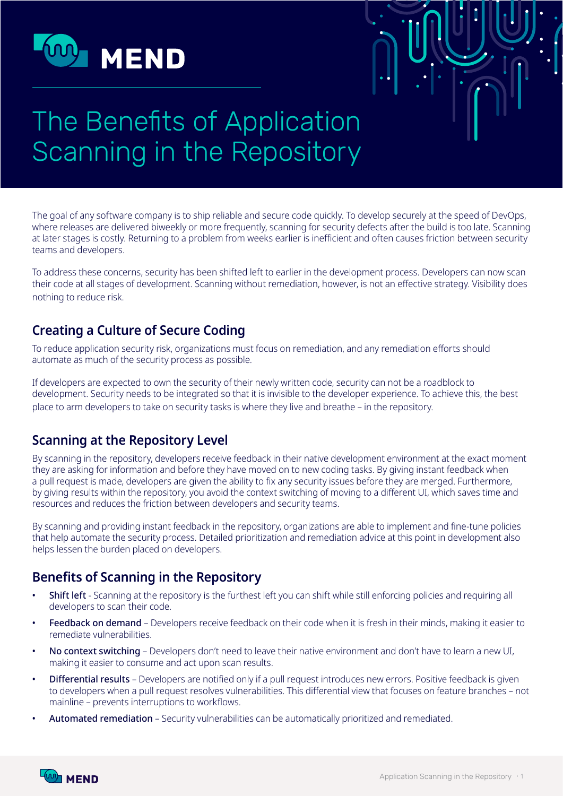

# The Benefits of Application Scanning in the Repository

The goal of any software company is to ship reliable and secure code quickly. To develop securely at the speed of DevOps, where releases are delivered biweekly or more frequently, scanning for security defects after the build is too late. Scanning at later stages is costly. Returning to a problem from weeks earlier is inefficient and often causes friction between security teams and developers.

To address these concerns, security has been shifted left to earlier in the development process. Developers can now scan their code at all stages of development. Scanning without remediation, however, is not an effective strategy. Visibility does nothing to reduce risk.

## **Creating a Culture of Secure Coding**

To reduce application security risk, organizations must focus on remediation, and any remediation efforts should automate as much of the security process as possible.

If developers are expected to own the security of their newly written code, security can not be a roadblock to development. Security needs to be integrated so that it is invisible to the developer experience. To achieve this, the best place to arm developers to take on security tasks is where they live and breathe – in the repository.

#### **Scanning at the Repository Level**

By scanning in the repository, developers receive feedback in their native development environment at the exact moment they are asking for information and before they have moved on to new coding tasks. By giving instant feedback when a pull request is made, developers are given the ability to fix any security issues before they are merged. Furthermore, by giving results within the repository, you avoid the context switching of moving to a different UI, which saves time and resources and reduces the friction between developers and security teams.

By scanning and providing instant feedback in the repository, organizations are able to implement and fine-tune policies that help automate the security process. Detailed prioritization and remediation advice at this point in development also helps lessen the burden placed on developers.

# **Benefits of Scanning in the Repository**

- Shift left Scanning at the repository is the furthest left you can shift while still enforcing policies and requiring all developers to scan their code.
- Feedback on demand Developers receive feedback on their code when it is fresh in their minds, making it easier to remediate vulnerabilities.
- No context switching Developers don't need to leave their native environment and don't have to learn a new UI, making it easier to consume and act upon scan results.
- Differential results Developers are notified only if a pull request introduces new errors. Positive feedback is given to developers when a pull request resolves vulnerabilities. This differential view that focuses on feature branches – not mainline – prevents interruptions to workflows.
- Automated remediation Security vulnerabilities can be automatically prioritized and remediated.